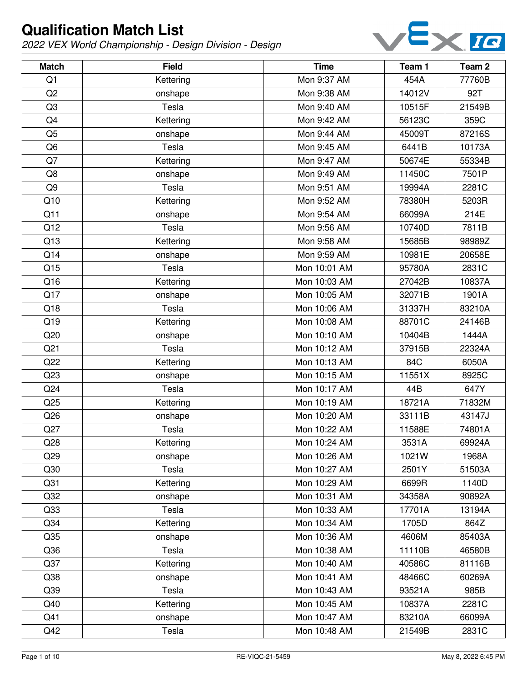

| <b>Match</b>    | <b>Field</b> | <b>Time</b>  | Team 1 | Team <sub>2</sub> |
|-----------------|--------------|--------------|--------|-------------------|
| Q1              | Kettering    | Mon 9:37 AM  | 454A   | 77760B            |
| Q2              | onshape      | Mon 9:38 AM  | 14012V | 92T               |
| Q <sub>3</sub>  | Tesla        | Mon 9:40 AM  | 10515F | 21549B            |
| Q <sub>4</sub>  | Kettering    | Mon 9:42 AM  | 56123C | 359C              |
| Q <sub>5</sub>  | onshape      | Mon 9:44 AM  | 45009T | 87216S            |
| Q <sub>6</sub>  | Tesla        | Mon 9:45 AM  | 6441B  | 10173A            |
| Q7              | Kettering    | Mon 9:47 AM  | 50674E | 55334B            |
| Q8              | onshape      | Mon 9:49 AM  | 11450C | 7501P             |
| Q <sub>9</sub>  | Tesla        | Mon 9:51 AM  | 19994A | 2281C             |
| Q10             | Kettering    | Mon 9:52 AM  | 78380H | 5203R             |
| Q11             | onshape      | Mon 9:54 AM  | 66099A | 214E              |
| Q12             | Tesla        | Mon 9:56 AM  | 10740D | 7811B             |
| Q13             | Kettering    | Mon 9:58 AM  | 15685B | 98989Z            |
| Q14             | onshape      | Mon 9:59 AM  | 10981E | 20658E            |
| Q15             | Tesla        | Mon 10:01 AM | 95780A | 2831C             |
| Q16             | Kettering    | Mon 10:03 AM | 27042B | 10837A            |
| Q17             | onshape      | Mon 10:05 AM | 32071B | 1901A             |
| Q18             | Tesla        | Mon 10:06 AM | 31337H | 83210A            |
| Q19             | Kettering    | Mon 10:08 AM | 88701C | 24146B            |
| Q20             | onshape      | Mon 10:10 AM | 10404B | 1444A             |
| Q <sub>21</sub> | Tesla        | Mon 10:12 AM | 37915B | 22324A            |
| Q22             | Kettering    | Mon 10:13 AM | 84C    | 6050A             |
| Q23             | onshape      | Mon 10:15 AM | 11551X | 8925C             |
| Q24             | Tesla        | Mon 10:17 AM | 44B    | 647Y              |
| Q25             | Kettering    | Mon 10:19 AM | 18721A | 71832M            |
| Q26             | onshape      | Mon 10:20 AM | 33111B | 43147J            |
| Q27             | Tesla        | Mon 10:22 AM | 11588E | 74801A            |
| Q28             | Kettering    | Mon 10:24 AM | 3531A  | 69924A            |
| Q29             | onshape      | Mon 10:26 AM | 1021W  | 1968A             |
| Q30             | Tesla        | Mon 10:27 AM | 2501Y  | 51503A            |
| Q <sub>31</sub> | Kettering    | Mon 10:29 AM | 6699R  | 1140D             |
| Q <sub>32</sub> | onshape      | Mon 10:31 AM | 34358A | 90892A            |
| Q <sub>33</sub> | Tesla        | Mon 10:33 AM | 17701A | 13194A            |
| Q <sub>34</sub> | Kettering    | Mon 10:34 AM | 1705D  | 864Z              |
| Q35             | onshape      | Mon 10:36 AM | 4606M  | 85403A            |
| Q36             | Tesla        | Mon 10:38 AM | 11110B | 46580B            |
| Q <sub>37</sub> | Kettering    | Mon 10:40 AM | 40586C | 81116B            |
| Q <sub>38</sub> | onshape      | Mon 10:41 AM | 48466C | 60269A            |
| Q39             | Tesla        | Mon 10:43 AM | 93521A | 985B              |
| Q40             | Kettering    | Mon 10:45 AM | 10837A | 2281C             |
| Q41             | onshape      | Mon 10:47 AM | 83210A | 66099A            |
| Q42             | Tesla        | Mon 10:48 AM | 21549B | 2831C             |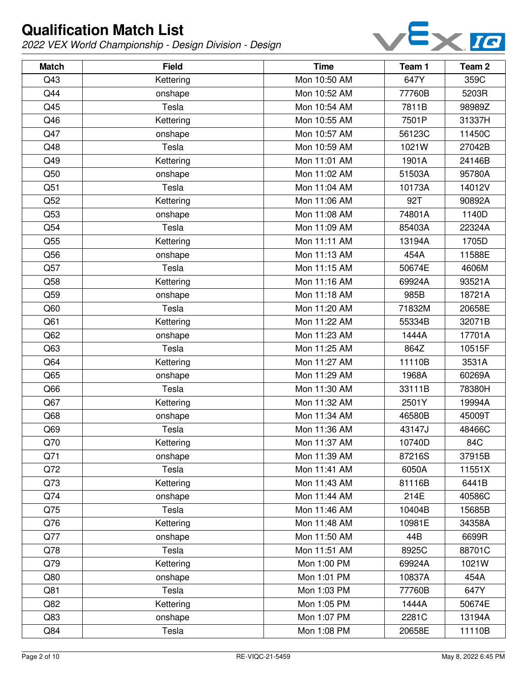

| <b>Match</b> | <b>Field</b> | <b>Time</b>  | Team 1 | Team <sub>2</sub> |
|--------------|--------------|--------------|--------|-------------------|
| Q43          | Kettering    | Mon 10:50 AM | 647Y   | 359C              |
| Q44          | onshape      | Mon 10:52 AM | 77760B | 5203R             |
| Q45          | Tesla        | Mon 10:54 AM | 7811B  | 98989Z            |
| Q46          | Kettering    | Mon 10:55 AM | 7501P  | 31337H            |
| Q47          | onshape      | Mon 10:57 AM | 56123C | 11450C            |
| Q48          | Tesla        | Mon 10:59 AM | 1021W  | 27042B            |
| Q49          | Kettering    | Mon 11:01 AM | 1901A  | 24146B            |
| Q50          | onshape      | Mon 11:02 AM | 51503A | 95780A            |
| Q51          | Tesla        | Mon 11:04 AM | 10173A | 14012V            |
| Q52          | Kettering    | Mon 11:06 AM | 92T    | 90892A            |
| Q53          | onshape      | Mon 11:08 AM | 74801A | 1140D             |
| Q54          | Tesla        | Mon 11:09 AM | 85403A | 22324A            |
| Q55          | Kettering    | Mon 11:11 AM | 13194A | 1705D             |
| Q56          | onshape      | Mon 11:13 AM | 454A   | 11588E            |
| Q57          | Tesla        | Mon 11:15 AM | 50674E | 4606M             |
| Q58          | Kettering    | Mon 11:16 AM | 69924A | 93521A            |
| Q59          | onshape      | Mon 11:18 AM | 985B   | 18721A            |
| Q60          | Tesla        | Mon 11:20 AM | 71832M | 20658E            |
| Q61          | Kettering    | Mon 11:22 AM | 55334B | 32071B            |
| Q62          | onshape      | Mon 11:23 AM | 1444A  | 17701A            |
| Q63          | Tesla        | Mon 11:25 AM | 864Z   | 10515F            |
| Q64          | Kettering    | Mon 11:27 AM | 11110B | 3531A             |
| Q65          | onshape      | Mon 11:29 AM | 1968A  | 60269A            |
| Q66          | Tesla        | Mon 11:30 AM | 33111B | 78380H            |
| Q67          | Kettering    | Mon 11:32 AM | 2501Y  | 19994A            |
| Q68          | onshape      | Mon 11:34 AM | 46580B | 45009T            |
| Q69          | Tesla        | Mon 11:36 AM | 43147J | 48466C            |
| Q70          | Kettering    | Mon 11:37 AM | 10740D | 84C               |
| Q71          | onshape      | Mon 11:39 AM | 87216S | 37915B            |
| Q72          | Tesla        | Mon 11:41 AM | 6050A  | 11551X            |
| Q73          | Kettering    | Mon 11:43 AM | 81116B | 6441B             |
| Q74          | onshape      | Mon 11:44 AM | 214E   | 40586C            |
| Q75          | Tesla        | Mon 11:46 AM | 10404B | 15685B            |
| Q76          | Kettering    | Mon 11:48 AM | 10981E | 34358A            |
| Q77          | onshape      | Mon 11:50 AM | 44B    | 6699R             |
| Q78          | Tesla        | Mon 11:51 AM | 8925C  | 88701C            |
| Q79          | Kettering    | Mon 1:00 PM  | 69924A | 1021W             |
| Q80          | onshape      | Mon 1:01 PM  | 10837A | 454A              |
| Q81          | Tesla        | Mon 1:03 PM  | 77760B | 647Y              |
| Q82          | Kettering    | Mon 1:05 PM  | 1444A  | 50674E            |
| Q83          | onshape      | Mon 1:07 PM  | 2281C  | 13194A            |
| Q84          | Tesla        | Mon 1:08 PM  | 20658E | 11110B            |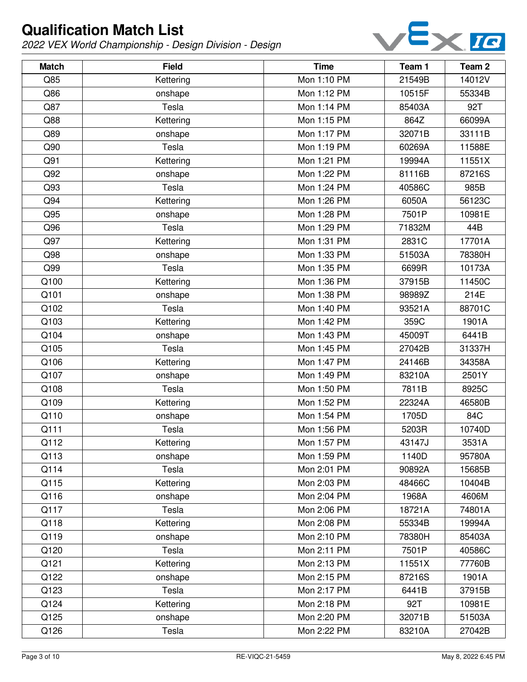

| <b>Match</b> | <b>Field</b> | <b>Time</b> | Team 1 | Team 2 |
|--------------|--------------|-------------|--------|--------|
| Q85          | Kettering    | Mon 1:10 PM | 21549B | 14012V |
| Q86          | onshape      | Mon 1:12 PM | 10515F | 55334B |
| Q87          | Tesla        | Mon 1:14 PM | 85403A | 92T    |
| Q88          | Kettering    | Mon 1:15 PM | 864Z   | 66099A |
| Q89          | onshape      | Mon 1:17 PM | 32071B | 33111B |
| Q90          | Tesla        | Mon 1:19 PM | 60269A | 11588E |
| Q91          | Kettering    | Mon 1:21 PM | 19994A | 11551X |
| Q92          | onshape      | Mon 1:22 PM | 81116B | 87216S |
| Q93          | Tesla        | Mon 1:24 PM | 40586C | 985B   |
| Q94          | Kettering    | Mon 1:26 PM | 6050A  | 56123C |
| Q95          | onshape      | Mon 1:28 PM | 7501P  | 10981E |
| Q96          | Tesla        | Mon 1:29 PM | 71832M | 44B    |
| Q97          | Kettering    | Mon 1:31 PM | 2831C  | 17701A |
| Q98          | onshape      | Mon 1:33 PM | 51503A | 78380H |
| Q99          | Tesla        | Mon 1:35 PM | 6699R  | 10173A |
| Q100         | Kettering    | Mon 1:36 PM | 37915B | 11450C |
| Q101         | onshape      | Mon 1:38 PM | 98989Z | 214E   |
| Q102         | Tesla        | Mon 1:40 PM | 93521A | 88701C |
| Q103         | Kettering    | Mon 1:42 PM | 359C   | 1901A  |
| Q104         | onshape      | Mon 1:43 PM | 45009T | 6441B  |
| Q105         | Tesla        | Mon 1:45 PM | 27042B | 31337H |
| Q106         | Kettering    | Mon 1:47 PM | 24146B | 34358A |
| Q107         | onshape      | Mon 1:49 PM | 83210A | 2501Y  |
| Q108         | Tesla        | Mon 1:50 PM | 7811B  | 8925C  |
| Q109         | Kettering    | Mon 1:52 PM | 22324A | 46580B |
| Q110         | onshape      | Mon 1:54 PM | 1705D  | 84C    |
| Q111         | Tesla        | Mon 1:56 PM | 5203R  | 10740D |
| Q112         | Kettering    | Mon 1:57 PM | 43147J | 3531A  |
| Q113         | onshape      | Mon 1:59 PM | 1140D  | 95780A |
| Q114         | Tesla        | Mon 2:01 PM | 90892A | 15685B |
| Q115         | Kettering    | Mon 2:03 PM | 48466C | 10404B |
| Q116         | onshape      | Mon 2:04 PM | 1968A  | 4606M  |
| Q117         | Tesla        | Mon 2:06 PM | 18721A | 74801A |
| Q118         | Kettering    | Mon 2:08 PM | 55334B | 19994A |
| Q119         | onshape      | Mon 2:10 PM | 78380H | 85403A |
| Q120         | Tesla        | Mon 2:11 PM | 7501P  | 40586C |
| Q121         | Kettering    | Mon 2:13 PM | 11551X | 77760B |
| Q122         | onshape      | Mon 2:15 PM | 87216S | 1901A  |
| Q123         | Tesla        | Mon 2:17 PM | 6441B  | 37915B |
| Q124         | Kettering    | Mon 2:18 PM | 92T    | 10981E |
| Q125         | onshape      | Mon 2:20 PM | 32071B | 51503A |
| Q126         | Tesla        | Mon 2:22 PM | 83210A | 27042B |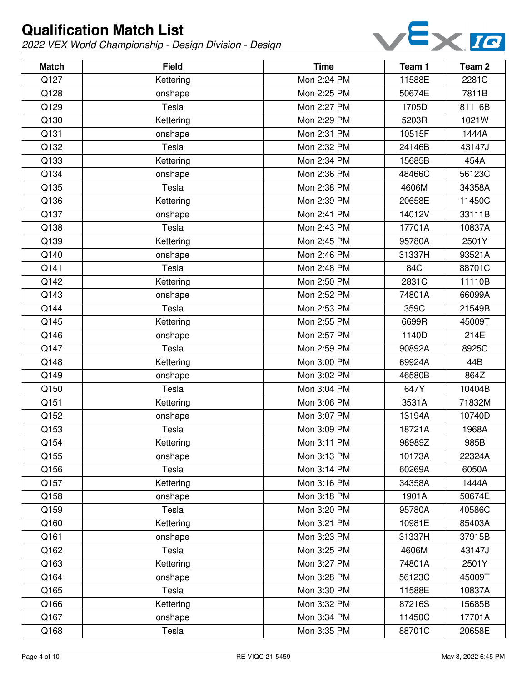

| <b>Match</b> | <b>Field</b> | <b>Time</b> | Team 1 | Team 2 |
|--------------|--------------|-------------|--------|--------|
| Q127         | Kettering    | Mon 2:24 PM | 11588E | 2281C  |
| Q128         | onshape      | Mon 2:25 PM | 50674E | 7811B  |
| Q129         | Tesla        | Mon 2:27 PM | 1705D  | 81116B |
| Q130         | Kettering    | Mon 2:29 PM | 5203R  | 1021W  |
| Q131         | onshape      | Mon 2:31 PM | 10515F | 1444A  |
| Q132         | Tesla        | Mon 2:32 PM | 24146B | 43147J |
| Q133         | Kettering    | Mon 2:34 PM | 15685B | 454A   |
| Q134         | onshape      | Mon 2:36 PM | 48466C | 56123C |
| Q135         | Tesla        | Mon 2:38 PM | 4606M  | 34358A |
| Q136         | Kettering    | Mon 2:39 PM | 20658E | 11450C |
| Q137         | onshape      | Mon 2:41 PM | 14012V | 33111B |
| Q138         | Tesla        | Mon 2:43 PM | 17701A | 10837A |
| Q139         | Kettering    | Mon 2:45 PM | 95780A | 2501Y  |
| Q140         | onshape      | Mon 2:46 PM | 31337H | 93521A |
| Q141         | Tesla        | Mon 2:48 PM | 84C    | 88701C |
| Q142         | Kettering    | Mon 2:50 PM | 2831C  | 11110B |
| Q143         | onshape      | Mon 2:52 PM | 74801A | 66099A |
| Q144         | Tesla        | Mon 2:53 PM | 359C   | 21549B |
| Q145         | Kettering    | Mon 2:55 PM | 6699R  | 45009T |
| Q146         | onshape      | Mon 2:57 PM | 1140D  | 214E   |
| Q147         | Tesla        | Mon 2:59 PM | 90892A | 8925C  |
| Q148         | Kettering    | Mon 3:00 PM | 69924A | 44B    |
| Q149         | onshape      | Mon 3:02 PM | 46580B | 864Z   |
| Q150         | Tesla        | Mon 3:04 PM | 647Y   | 10404B |
| Q151         | Kettering    | Mon 3:06 PM | 3531A  | 71832M |
| Q152         | onshape      | Mon 3:07 PM | 13194A | 10740D |
| Q153         | Tesla        | Mon 3:09 PM | 18721A | 1968A  |
| Q154         | Kettering    | Mon 3:11 PM | 98989Z | 985B   |
| Q155         | onshape      | Mon 3:13 PM | 10173A | 22324A |
| Q156         | Tesla        | Mon 3:14 PM | 60269A | 6050A  |
| Q157         | Kettering    | Mon 3:16 PM | 34358A | 1444A  |
| Q158         | onshape      | Mon 3:18 PM | 1901A  | 50674E |
| Q159         | Tesla        | Mon 3:20 PM | 95780A | 40586C |
| Q160         | Kettering    | Mon 3:21 PM | 10981E | 85403A |
| Q161         | onshape      | Mon 3:23 PM | 31337H | 37915B |
| Q162         | Tesla        | Mon 3:25 PM | 4606M  | 43147J |
| Q163         | Kettering    | Mon 3:27 PM | 74801A | 2501Y  |
| Q164         | onshape      | Mon 3:28 PM | 56123C | 45009T |
| Q165         | Tesla        | Mon 3:30 PM | 11588E | 10837A |
| Q166         | Kettering    | Mon 3:32 PM | 87216S | 15685B |
| Q167         | onshape      | Mon 3:34 PM | 11450C | 17701A |
| Q168         | Tesla        | Mon 3:35 PM | 88701C | 20658E |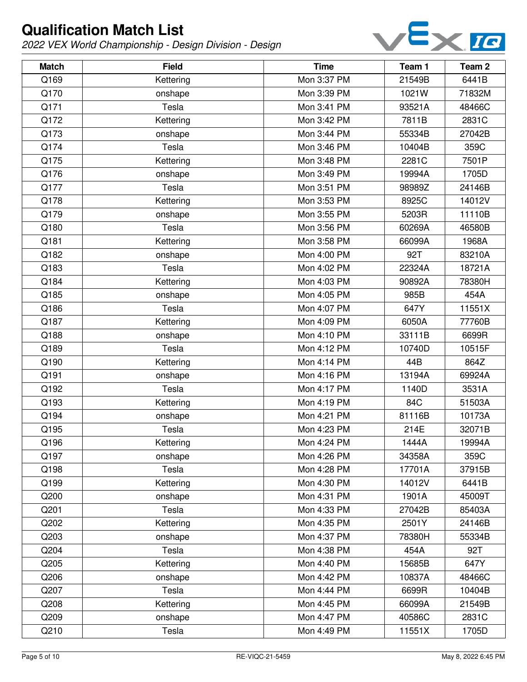

| <b>Match</b> | <b>Field</b> | <b>Time</b> | Team 1 | Team <sub>2</sub> |
|--------------|--------------|-------------|--------|-------------------|
| Q169         | Kettering    | Mon 3:37 PM | 21549B | 6441B             |
| Q170         | onshape      | Mon 3:39 PM | 1021W  | 71832M            |
| Q171         | Tesla        | Mon 3:41 PM | 93521A | 48466C            |
| Q172         | Kettering    | Mon 3:42 PM | 7811B  | 2831C             |
| Q173         | onshape      | Mon 3:44 PM | 55334B | 27042B            |
| Q174         | Tesla        | Mon 3:46 PM | 10404B | 359C              |
| Q175         | Kettering    | Mon 3:48 PM | 2281C  | 7501P             |
| Q176         | onshape      | Mon 3:49 PM | 19994A | 1705D             |
| Q177         | Tesla        | Mon 3:51 PM | 98989Z | 24146B            |
| Q178         | Kettering    | Mon 3:53 PM | 8925C  | 14012V            |
| Q179         | onshape      | Mon 3:55 PM | 5203R  | 11110B            |
| Q180         | Tesla        | Mon 3:56 PM | 60269A | 46580B            |
| Q181         | Kettering    | Mon 3:58 PM | 66099A | 1968A             |
| Q182         | onshape      | Mon 4:00 PM | 92T    | 83210A            |
| Q183         | Tesla        | Mon 4:02 PM | 22324A | 18721A            |
| Q184         | Kettering    | Mon 4:03 PM | 90892A | 78380H            |
| Q185         | onshape      | Mon 4:05 PM | 985B   | 454A              |
| Q186         | Tesla        | Mon 4:07 PM | 647Y   | 11551X            |
| Q187         | Kettering    | Mon 4:09 PM | 6050A  | 77760B            |
| Q188         | onshape      | Mon 4:10 PM | 33111B | 6699R             |
| Q189         | Tesla        | Mon 4:12 PM | 10740D | 10515F            |
| Q190         | Kettering    | Mon 4:14 PM | 44B    | 864Z              |
| Q191         | onshape      | Mon 4:16 PM | 13194A | 69924A            |
| Q192         | Tesla        | Mon 4:17 PM | 1140D  | 3531A             |
| Q193         | Kettering    | Mon 4:19 PM | 84C    | 51503A            |
| Q194         | onshape      | Mon 4:21 PM | 81116B | 10173A            |
| Q195         | Tesla        | Mon 4:23 PM | 214E   | 32071B            |
| Q196         | Kettering    | Mon 4:24 PM | 1444A  | 19994A            |
| Q197         | onshape      | Mon 4:26 PM | 34358A | 359C              |
| Q198         | Tesla        | Mon 4:28 PM | 17701A | 37915B            |
| Q199         | Kettering    | Mon 4:30 PM | 14012V | 6441B             |
| Q200         | onshape      | Mon 4:31 PM | 1901A  | 45009T            |
| Q201         | Tesla        | Mon 4:33 PM | 27042B | 85403A            |
| Q202         | Kettering    | Mon 4:35 PM | 2501Y  | 24146B            |
| Q203         | onshape      | Mon 4:37 PM | 78380H | 55334B            |
| Q204         | Tesla        | Mon 4:38 PM | 454A   | 92T               |
| Q205         | Kettering    | Mon 4:40 PM | 15685B | 647Y              |
| Q206         | onshape      | Mon 4:42 PM | 10837A | 48466C            |
| Q207         | Tesla        | Mon 4:44 PM | 6699R  | 10404B            |
| Q208         | Kettering    | Mon 4:45 PM | 66099A | 21549B            |
| Q209         | onshape      | Mon 4:47 PM | 40586C | 2831C             |
| Q210         | Tesla        | Mon 4:49 PM | 11551X | 1705D             |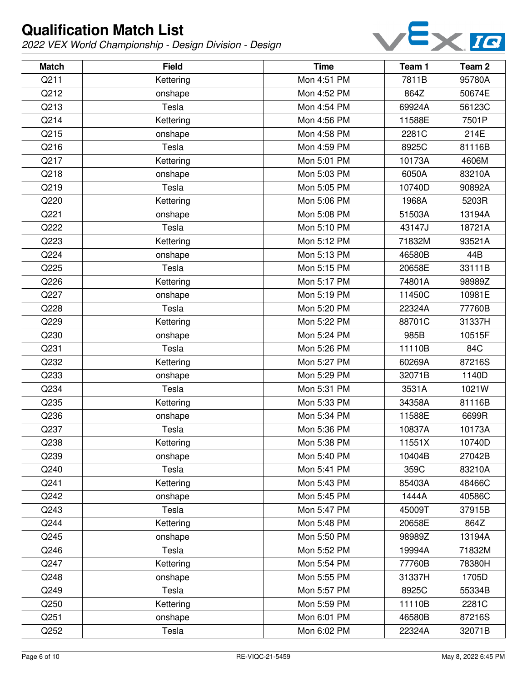

| <b>Match</b> | <b>Field</b> | <b>Time</b> | Team 1 | Team <sub>2</sub> |
|--------------|--------------|-------------|--------|-------------------|
| Q211         | Kettering    | Mon 4:51 PM | 7811B  | 95780A            |
| Q212         | onshape      | Mon 4:52 PM | 864Z   | 50674E            |
| Q213         | Tesla        | Mon 4:54 PM | 69924A | 56123C            |
| Q214         | Kettering    | Mon 4:56 PM | 11588E | 7501P             |
| Q215         | onshape      | Mon 4:58 PM | 2281C  | 214E              |
| Q216         | Tesla        | Mon 4:59 PM | 8925C  | 81116B            |
| Q217         | Kettering    | Mon 5:01 PM | 10173A | 4606M             |
| Q218         | onshape      | Mon 5:03 PM | 6050A  | 83210A            |
| Q219         | Tesla        | Mon 5:05 PM | 10740D | 90892A            |
| Q220         | Kettering    | Mon 5:06 PM | 1968A  | 5203R             |
| Q221         | onshape      | Mon 5:08 PM | 51503A | 13194A            |
| Q222         | Tesla        | Mon 5:10 PM | 43147J | 18721A            |
| Q223         | Kettering    | Mon 5:12 PM | 71832M | 93521A            |
| Q224         | onshape      | Mon 5:13 PM | 46580B | 44B               |
| Q225         | Tesla        | Mon 5:15 PM | 20658E | 33111B            |
| Q226         | Kettering    | Mon 5:17 PM | 74801A | 98989Z            |
| Q227         | onshape      | Mon 5:19 PM | 11450C | 10981E            |
| Q228         | Tesla        | Mon 5:20 PM | 22324A | 77760B            |
| Q229         | Kettering    | Mon 5:22 PM | 88701C | 31337H            |
| Q230         | onshape      | Mon 5:24 PM | 985B   | 10515F            |
| Q231         | Tesla        | Mon 5:26 PM | 11110B | 84C               |
| Q232         | Kettering    | Mon 5:27 PM | 60269A | 87216S            |
| Q233         | onshape      | Mon 5:29 PM | 32071B | 1140D             |
| Q234         | Tesla        | Mon 5:31 PM | 3531A  | 1021W             |
| Q235         | Kettering    | Mon 5:33 PM | 34358A | 81116B            |
| Q236         | onshape      | Mon 5:34 PM | 11588E | 6699R             |
| Q237         | Tesla        | Mon 5:36 PM | 10837A | 10173A            |
| Q238         | Kettering    | Mon 5:38 PM | 11551X | 10740D            |
| Q239         | onshape      | Mon 5:40 PM | 10404B | 27042B            |
| Q240         | Tesla        | Mon 5:41 PM | 359C   | 83210A            |
| Q241         | Kettering    | Mon 5:43 PM | 85403A | 48466C            |
| Q242         | onshape      | Mon 5:45 PM | 1444A  | 40586C            |
| Q243         | Tesla        | Mon 5:47 PM | 45009T | 37915B            |
| Q244         | Kettering    | Mon 5:48 PM | 20658E | 864Z              |
| Q245         | onshape      | Mon 5:50 PM | 98989Z | 13194A            |
| Q246         | Tesla        | Mon 5:52 PM | 19994A | 71832M            |
| Q247         | Kettering    | Mon 5:54 PM | 77760B | 78380H            |
| Q248         | onshape      | Mon 5:55 PM | 31337H | 1705D             |
| Q249         | Tesla        | Mon 5:57 PM | 8925C  | 55334B            |
| Q250         | Kettering    | Mon 5:59 PM | 11110B | 2281C             |
| Q251         | onshape      | Mon 6:01 PM | 46580B | 87216S            |
| Q252         | Tesla        | Mon 6:02 PM | 22324A | 32071B            |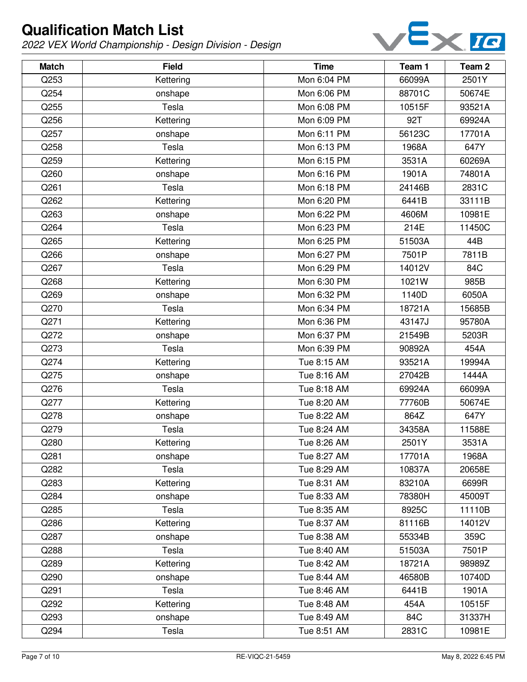

| <b>Match</b> | <b>Field</b> | <b>Time</b> | Team 1 | Team <sub>2</sub> |
|--------------|--------------|-------------|--------|-------------------|
| Q253         | Kettering    | Mon 6:04 PM | 66099A | 2501Y             |
| Q254         | onshape      | Mon 6:06 PM | 88701C | 50674E            |
| Q255         | Tesla        | Mon 6:08 PM | 10515F | 93521A            |
| Q256         | Kettering    | Mon 6:09 PM | 92T    | 69924A            |
| Q257         | onshape      | Mon 6:11 PM | 56123C | 17701A            |
| Q258         | Tesla        | Mon 6:13 PM | 1968A  | 647Y              |
| Q259         | Kettering    | Mon 6:15 PM | 3531A  | 60269A            |
| Q260         | onshape      | Mon 6:16 PM | 1901A  | 74801A            |
| Q261         | Tesla        | Mon 6:18 PM | 24146B | 2831C             |
| Q262         | Kettering    | Mon 6:20 PM | 6441B  | 33111B            |
| Q263         | onshape      | Mon 6:22 PM | 4606M  | 10981E            |
| Q264         | Tesla        | Mon 6:23 PM | 214E   | 11450C            |
| Q265         | Kettering    | Mon 6:25 PM | 51503A | 44B               |
| Q266         | onshape      | Mon 6:27 PM | 7501P  | 7811B             |
| Q267         | Tesla        | Mon 6:29 PM | 14012V | 84C               |
| Q268         | Kettering    | Mon 6:30 PM | 1021W  | 985B              |
| Q269         | onshape      | Mon 6:32 PM | 1140D  | 6050A             |
| Q270         | Tesla        | Mon 6:34 PM | 18721A | 15685B            |
| Q271         | Kettering    | Mon 6:36 PM | 43147J | 95780A            |
| Q272         | onshape      | Mon 6:37 PM | 21549B | 5203R             |
| Q273         | Tesla        | Mon 6:39 PM | 90892A | 454A              |
| Q274         | Kettering    | Tue 8:15 AM | 93521A | 19994A            |
| Q275         | onshape      | Tue 8:16 AM | 27042B | 1444A             |
| Q276         | Tesla        | Tue 8:18 AM | 69924A | 66099A            |
| Q277         | Kettering    | Tue 8:20 AM | 77760B | 50674E            |
| Q278         | onshape      | Tue 8:22 AM | 864Z   | 647Y              |
| Q279         | Tesla        | Tue 8:24 AM | 34358A | 11588E            |
| Q280         | Kettering    | Tue 8:26 AM | 2501Y  | 3531A             |
| Q281         | onshape      | Tue 8:27 AM | 17701A | 1968A             |
| Q282         | Tesla        | Tue 8:29 AM | 10837A | 20658E            |
| Q283         | Kettering    | Tue 8:31 AM | 83210A | 6699R             |
| Q284         | onshape      | Tue 8:33 AM | 78380H | 45009T            |
| Q285         | Tesla        | Tue 8:35 AM | 8925C  | 11110B            |
| Q286         | Kettering    | Tue 8:37 AM | 81116B | 14012V            |
| Q287         | onshape      | Tue 8:38 AM | 55334B | 359C              |
| Q288         | Tesla        | Tue 8:40 AM | 51503A | 7501P             |
| Q289         | Kettering    | Tue 8:42 AM | 18721A | 98989Z            |
| Q290         | onshape      | Tue 8:44 AM | 46580B | 10740D            |
| Q291         | Tesla        | Tue 8:46 AM | 6441B  | 1901A             |
| Q292         | Kettering    | Tue 8:48 AM | 454A   | 10515F            |
| Q293         | onshape      | Tue 8:49 AM | 84C    | 31337H            |
| Q294         | Tesla        | Tue 8:51 AM | 2831C  | 10981E            |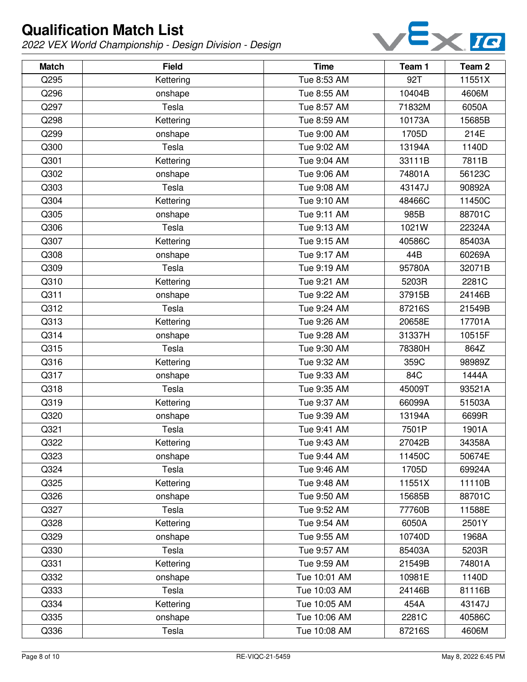

| <b>Match</b> | <b>Field</b> | <b>Time</b>  | Team 1 | Team <sub>2</sub> |
|--------------|--------------|--------------|--------|-------------------|
| Q295         | Kettering    | Tue 8:53 AM  | 92T    | 11551X            |
| Q296         | onshape      | Tue 8:55 AM  | 10404B | 4606M             |
| Q297         | Tesla        | Tue 8:57 AM  | 71832M | 6050A             |
| Q298         | Kettering    | Tue 8:59 AM  | 10173A | 15685B            |
| Q299         | onshape      | Tue 9:00 AM  | 1705D  | 214E              |
| Q300         | Tesla        | Tue 9:02 AM  | 13194A | 1140D             |
| Q301         | Kettering    | Tue 9:04 AM  | 33111B | 7811B             |
| Q302         | onshape      | Tue 9:06 AM  | 74801A | 56123C            |
| Q303         | Tesla        | Tue 9:08 AM  | 43147J | 90892A            |
| Q304         | Kettering    | Tue 9:10 AM  | 48466C | 11450C            |
| Q305         | onshape      | Tue 9:11 AM  | 985B   | 88701C            |
| Q306         | Tesla        | Tue 9:13 AM  | 1021W  | 22324A            |
| Q307         | Kettering    | Tue 9:15 AM  | 40586C | 85403A            |
| Q308         | onshape      | Tue 9:17 AM  | 44B    | 60269A            |
| Q309         | Tesla        | Tue 9:19 AM  | 95780A | 32071B            |
| Q310         | Kettering    | Tue 9:21 AM  | 5203R  | 2281C             |
| Q311         | onshape      | Tue 9:22 AM  | 37915B | 24146B            |
| Q312         | Tesla        | Tue 9:24 AM  | 87216S | 21549B            |
| Q313         | Kettering    | Tue 9:26 AM  | 20658E | 17701A            |
| Q314         | onshape      | Tue 9:28 AM  | 31337H | 10515F            |
| Q315         | Tesla        | Tue 9:30 AM  | 78380H | 864Z              |
| Q316         | Kettering    | Tue 9:32 AM  | 359C   | 98989Z            |
| Q317         | onshape      | Tue 9:33 AM  | 84C    | 1444A             |
| Q318         | Tesla        | Tue 9:35 AM  | 45009T | 93521A            |
| Q319         | Kettering    | Tue 9:37 AM  | 66099A | 51503A            |
| Q320         | onshape      | Tue 9:39 AM  | 13194A | 6699R             |
| Q321         | Tesla        | Tue 9:41 AM  | 7501P  | 1901A             |
| Q322         | Kettering    | Tue 9:43 AM  | 27042B | 34358A            |
| Q323         | onshape      | Tue 9:44 AM  | 11450C | 50674E            |
| Q324         | Tesla        | Tue 9:46 AM  | 1705D  | 69924A            |
| Q325         | Kettering    | Tue 9:48 AM  | 11551X | 11110B            |
| Q326         | onshape      | Tue 9:50 AM  | 15685B | 88701C            |
| Q327         | Tesla        | Tue 9:52 AM  | 77760B | 11588E            |
| Q328         | Kettering    | Tue 9:54 AM  | 6050A  | 2501Y             |
| Q329         | onshape      | Tue 9:55 AM  | 10740D | 1968A             |
| Q330         | Tesla        | Tue 9:57 AM  | 85403A | 5203R             |
| Q331         | Kettering    | Tue 9:59 AM  | 21549B | 74801A            |
| Q332         | onshape      | Tue 10:01 AM | 10981E | 1140D             |
| Q333         | Tesla        | Tue 10:03 AM | 24146B | 81116B            |
| Q334         | Kettering    | Tue 10:05 AM | 454A   | 43147J            |
| Q335         | onshape      | Tue 10:06 AM | 2281C  | 40586C            |
| Q336         | Tesla        | Tue 10:08 AM | 87216S | 4606M             |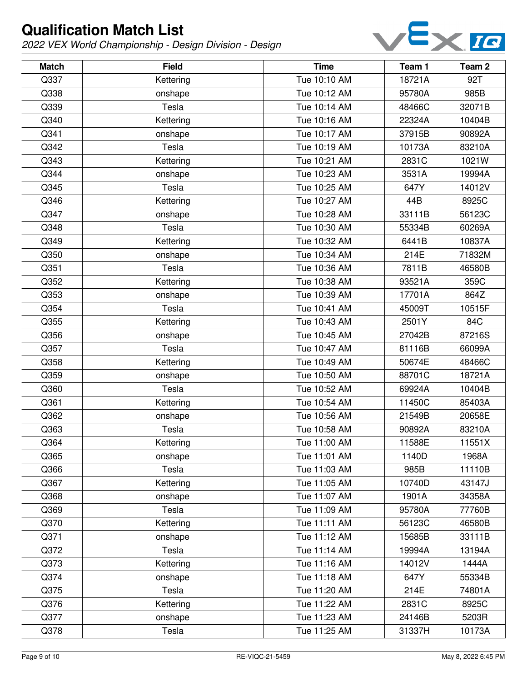

| <b>Match</b> | <b>Field</b> | <b>Time</b>  | Team 1 | Team 2 |
|--------------|--------------|--------------|--------|--------|
| Q337         | Kettering    | Tue 10:10 AM | 18721A | 92T    |
| Q338         | onshape      | Tue 10:12 AM | 95780A | 985B   |
| Q339         | Tesla        | Tue 10:14 AM | 48466C | 32071B |
| Q340         | Kettering    | Tue 10:16 AM | 22324A | 10404B |
| Q341         | onshape      | Tue 10:17 AM | 37915B | 90892A |
| Q342         | Tesla        | Tue 10:19 AM | 10173A | 83210A |
| Q343         | Kettering    | Tue 10:21 AM | 2831C  | 1021W  |
| Q344         | onshape      | Tue 10:23 AM | 3531A  | 19994A |
| Q345         | Tesla        | Tue 10:25 AM | 647Y   | 14012V |
| Q346         | Kettering    | Tue 10:27 AM | 44B    | 8925C  |
| Q347         | onshape      | Tue 10:28 AM | 33111B | 56123C |
| Q348         | Tesla        | Tue 10:30 AM | 55334B | 60269A |
| Q349         | Kettering    | Tue 10:32 AM | 6441B  | 10837A |
| Q350         | onshape      | Tue 10:34 AM | 214E   | 71832M |
| Q351         | Tesla        | Tue 10:36 AM | 7811B  | 46580B |
| Q352         | Kettering    | Tue 10:38 AM | 93521A | 359C   |
| Q353         | onshape      | Tue 10:39 AM | 17701A | 864Z   |
| Q354         | Tesla        | Tue 10:41 AM | 45009T | 10515F |
| Q355         | Kettering    | Tue 10:43 AM | 2501Y  | 84C    |
| Q356         | onshape      | Tue 10:45 AM | 27042B | 87216S |
| Q357         | Tesla        | Tue 10:47 AM | 81116B | 66099A |
| Q358         | Kettering    | Tue 10:49 AM | 50674E | 48466C |
| Q359         | onshape      | Tue 10:50 AM | 88701C | 18721A |
| Q360         | Tesla        | Tue 10:52 AM | 69924A | 10404B |
| Q361         | Kettering    | Tue 10:54 AM | 11450C | 85403A |
| Q362         | onshape      | Tue 10:56 AM | 21549B | 20658E |
| Q363         | Tesla        | Tue 10:58 AM | 90892A | 83210A |
| Q364         | Kettering    | Tue 11:00 AM | 11588E | 11551X |
| Q365         | onshape      | Tue 11:01 AM | 1140D  | 1968A  |
| Q366         | Tesla        | Tue 11:03 AM | 985B   | 11110B |
| Q367         | Kettering    | Tue 11:05 AM | 10740D | 43147J |
| Q368         | onshape      | Tue 11:07 AM | 1901A  | 34358A |
| Q369         | Tesla        | Tue 11:09 AM | 95780A | 77760B |
| Q370         | Kettering    | Tue 11:11 AM | 56123C | 46580B |
| Q371         | onshape      | Tue 11:12 AM | 15685B | 33111B |
| Q372         | Tesla        | Tue 11:14 AM | 19994A | 13194A |
| Q373         | Kettering    | Tue 11:16 AM | 14012V | 1444A  |
| Q374         | onshape      | Tue 11:18 AM | 647Y   | 55334B |
| Q375         | Tesla        | Tue 11:20 AM | 214E   | 74801A |
| Q376         | Kettering    | Tue 11:22 AM | 2831C  | 8925C  |
| Q377         | onshape      | Tue 11:23 AM | 24146B | 5203R  |
| Q378         | Tesla        | Tue 11:25 AM | 31337H | 10173A |